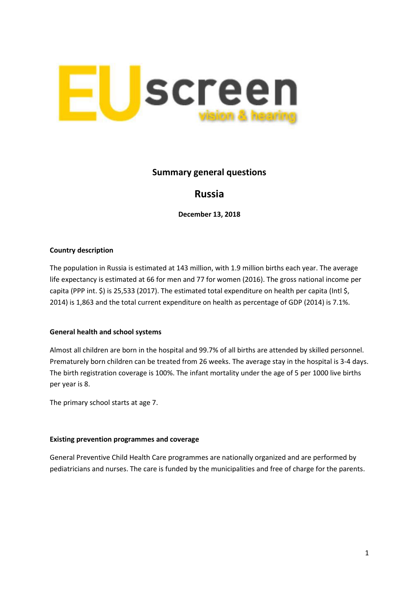

## **Summary general questions**

# **Russia**

**December 13, 2018**

### **Country description**

The population in Russia is estimated at 143 million, with 1.9 million births each year. The average life expectancy is estimated at 66 for men and 77 for women (2016). The gross national income per capita (PPP int. \$) is 25,533 (2017). The estimated total expenditure on health per capita (Intl \$, 2014) is 1,863 and the total current expenditure on health as percentage of GDP (2014) is 7.1%.

#### **General health and school systems**

Almost all children are born in the hospital and 99.7% of all births are attended by skilled personnel. Prematurely born children can be treated from 26 weeks. The average stay in the hospital is 3-4 days. The birth registration coverage is 100%. The infant mortality under the age of 5 per 1000 live births per year is 8.

The primary school starts at age 7.

#### **Existing prevention programmes and coverage**

General Preventive Child Health Care programmes are nationally organized and are performed by pediatricians and nurses. The care is funded by the municipalities and free of charge for the parents.